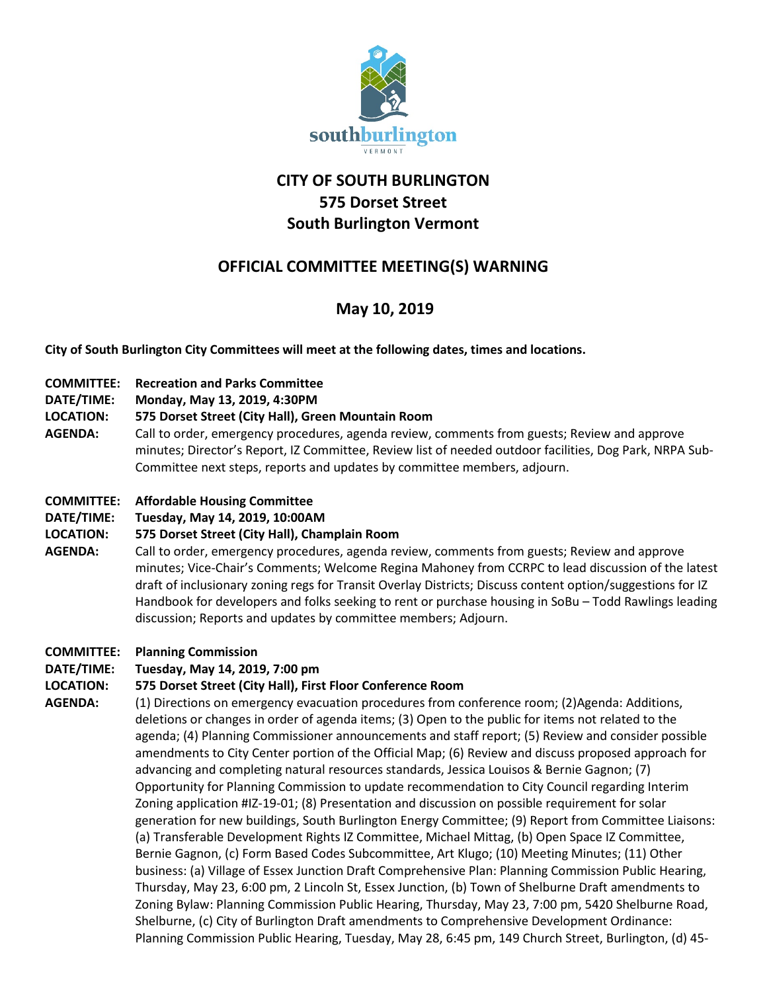

# **CITY OF SOUTH BURLINGTON 575 Dorset Street South Burlington Vermont**

# **OFFICIAL COMMITTEE MEETING(S) WARNING**

# **May 10, 2019**

**City of South Burlington City Committees will meet at the following dates, times and locations.** 

- **COMMITTEE: Recreation and Parks Committee**
- **DATE/TIME: Monday, May 13, 2019, 4:30PM**

#### **LOCATION: 575 Dorset Street (City Hall), Green Mountain Room**

**AGENDA:** Call to order, emergency procedures, agenda review, comments from guests; Review and approve minutes; Director's Report, IZ Committee, Review list of needed outdoor facilities, Dog Park, NRPA Sub-Committee next steps, reports and updates by committee members, adjourn.

#### **COMMITTEE: Affordable Housing Committee**

**DATE/TIME: Tuesday, May 14, 2019, 10:00AM**

#### **LOCATION: 575 Dorset Street (City Hall), Champlain Room**

**AGENDA:** Call to order, emergency procedures, agenda review, comments from guests; Review and approve minutes; Vice-Chair's Comments; Welcome Regina Mahoney from CCRPC to lead discussion of the latest draft of inclusionary zoning regs for Transit Overlay Districts; Discuss content option/suggestions for IZ Handbook for developers and folks seeking to rent or purchase housing in SoBu – Todd Rawlings leading discussion; Reports and updates by committee members; Adjourn.

#### **COMMITTEE: Planning Commission**

#### **DATE/TIME: Tuesday, May 14, 2019, 7:00 pm**

#### **LOCATION: 575 Dorset Street (City Hall), First Floor Conference Room**

AGENDA: (1) Directions on emergency evacuation procedures from conference room; (2)Agenda: Additions, deletions or changes in order of agenda items; (3) Open to the public for items not related to the agenda; (4) Planning Commissioner announcements and staff report; (5) Review and consider possible amendments to City Center portion of the Official Map; (6) Review and discuss proposed approach for advancing and completing natural resources standards, Jessica Louisos & Bernie Gagnon; (7) Opportunity for Planning Commission to update recommendation to City Council regarding Interim Zoning application #IZ-19-01; (8) Presentation and discussion on possible requirement for solar generation for new buildings, South Burlington Energy Committee; (9) Report from Committee Liaisons: (a) Transferable Development Rights IZ Committee, Michael Mittag, (b) Open Space IZ Committee, Bernie Gagnon, (c) Form Based Codes Subcommittee, Art Klugo; (10) Meeting Minutes; (11) Other business: (a) Village of Essex Junction Draft Comprehensive Plan: Planning Commission Public Hearing, Thursday, May 23, 6:00 pm, 2 Lincoln St, Essex Junction, (b) Town of Shelburne Draft amendments to Zoning Bylaw: Planning Commission Public Hearing, Thursday, May 23, 7:00 pm, 5420 Shelburne Road, Shelburne, (c) City of Burlington Draft amendments to Comprehensive Development Ordinance: Planning Commission Public Hearing, Tuesday, May 28, 6:45 pm, 149 Church Street, Burlington, (d) 45-